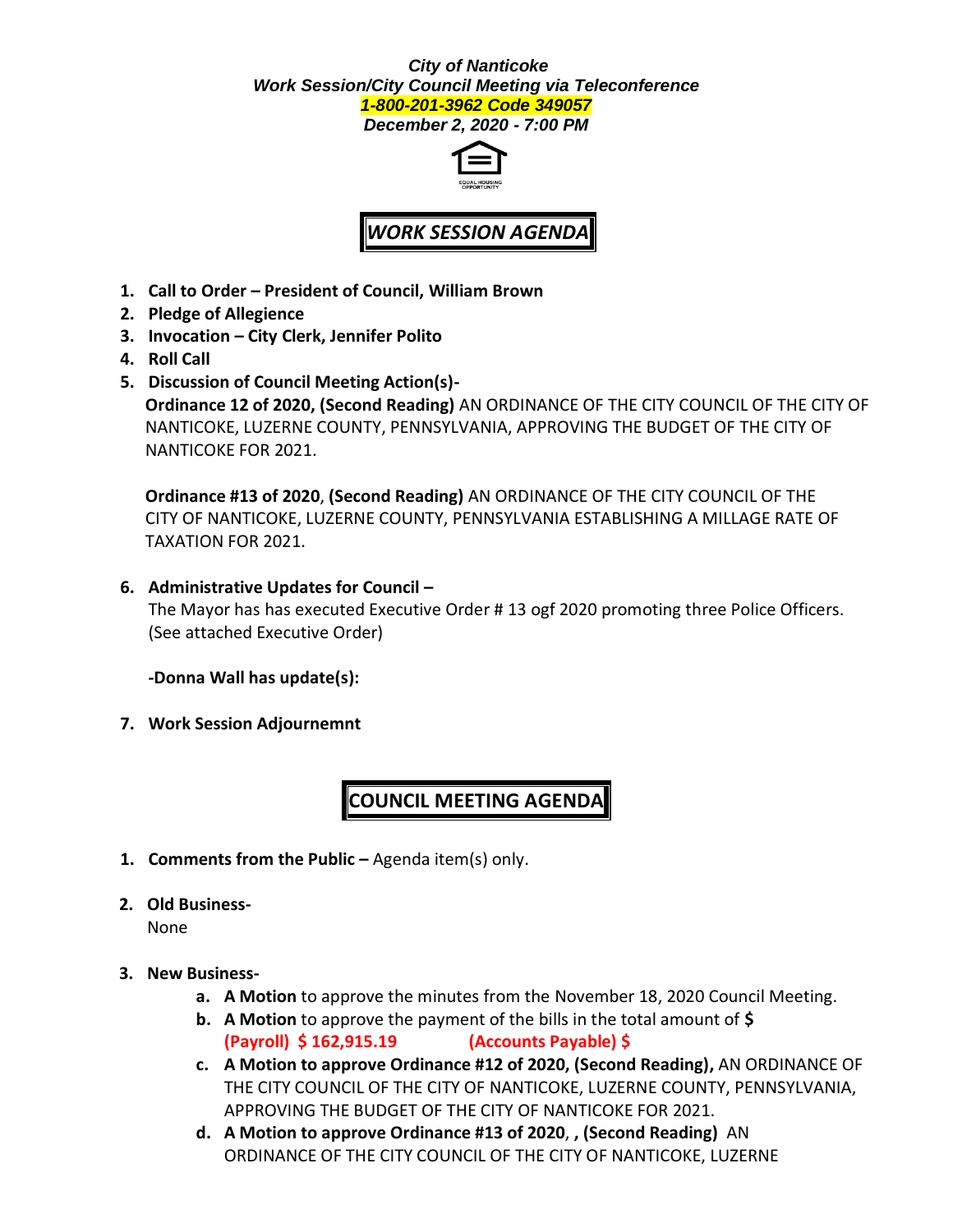#### *City of Nanticoke Work Session/City Council Meeting via Teleconference 1-800-201-3962 Code 349057*

*December 2, 2020 - 7:00 PM*



# *WORK SESSION AGENDA*

- **1. Call to Order – President of Council, William Brown**
- **2. Pledge of Allegience**
- **3. Invocation – City Clerk, Jennifer Polito**
- **4. Roll Call**
- **5. Discussion of Council Meeting Action(s)- Ordinance 12 of 2020, (Second Reading)** AN ORDINANCE OF THE CITY COUNCIL OF THE CITY OF NANTICOKE, LUZERNE COUNTY, PENNSYLVANIA, APPROVING THE BUDGET OF THE CITY OF NANTICOKE FOR 2021.

**Ordinance #13 of 2020**, **(Second Reading)** AN ORDINANCE OF THE CITY COUNCIL OF THE CITY OF NANTICOKE, LUZERNE COUNTY, PENNSYLVANIA ESTABLISHING A MILLAGE RATE OF TAXATION FOR 2021.

**6. Administrative Updates for Council –**

The Mayor has has executed Executive Order # 13 ogf 2020 promoting three Police Officers. (See attached Executive Order)

**-Donna Wall has update(s):**

**7. Work Session Adjournemnt**

## **COUNCIL MEETING AGENDA**

**1. Comments from the Public –** Agenda item(s) only.

#### **2. Old Business-**

None

#### **3. New Business-**

- **a. A Motion** to approve the minutes from the November 18, 2020 Council Meeting.
- **b. A Motion** to approve the payment of the bills in the total amount of **\$ (Payroll) \$ 162,915.19 (Accounts Payable) \$**
- **c. A Motion to approve Ordinance #12 of 2020, (Second Reading),** AN ORDINANCE OF THE CITY COUNCIL OF THE CITY OF NANTICOKE, LUZERNE COUNTY, PENNSYLVANIA, APPROVING THE BUDGET OF THE CITY OF NANTICOKE FOR 2021.
- **d. A Motion to approve Ordinance #13 of 2020**, **, (Second Reading)** AN ORDINANCE OF THE CITY COUNCIL OF THE CITY OF NANTICOKE, LUZERNE